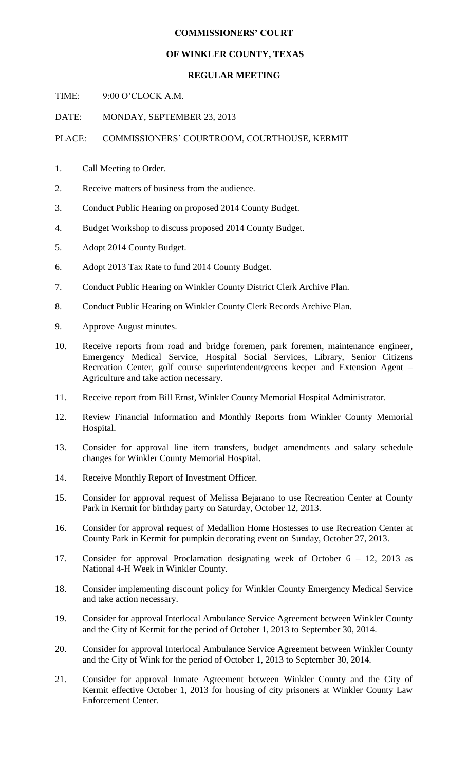## **COMMISSIONERS' COURT**

## **OF WINKLER COUNTY, TEXAS**

## **REGULAR MEETING**

TIME: 9:00 O'CLOCK A.M.

DATE: MONDAY, SEPTEMBER 23, 2013

PLACE: COMMISSIONERS' COURTROOM, COURTHOUSE, KERMIT

- 1. Call Meeting to Order.
- 2. Receive matters of business from the audience.
- 3. Conduct Public Hearing on proposed 2014 County Budget.
- 4. Budget Workshop to discuss proposed 2014 County Budget.
- 5. Adopt 2014 County Budget.
- 6. Adopt 2013 Tax Rate to fund 2014 County Budget.
- 7. Conduct Public Hearing on Winkler County District Clerk Archive Plan.
- 8. Conduct Public Hearing on Winkler County Clerk Records Archive Plan.
- 9. Approve August minutes.
- 10. Receive reports from road and bridge foremen, park foremen, maintenance engineer, Emergency Medical Service, Hospital Social Services, Library, Senior Citizens Recreation Center, golf course superintendent/greens keeper and Extension Agent – Agriculture and take action necessary.
- 11. Receive report from Bill Ernst, Winkler County Memorial Hospital Administrator.
- 12. Review Financial Information and Monthly Reports from Winkler County Memorial Hospital.
- 13. Consider for approval line item transfers, budget amendments and salary schedule changes for Winkler County Memorial Hospital.
- 14. Receive Monthly Report of Investment Officer.
- 15. Consider for approval request of Melissa Bejarano to use Recreation Center at County Park in Kermit for birthday party on Saturday, October 12, 2013.
- 16. Consider for approval request of Medallion Home Hostesses to use Recreation Center at County Park in Kermit for pumpkin decorating event on Sunday, October 27, 2013.
- 17. Consider for approval Proclamation designating week of October 6 12, 2013 as National 4-H Week in Winkler County.
- 18. Consider implementing discount policy for Winkler County Emergency Medical Service and take action necessary.
- 19. Consider for approval Interlocal Ambulance Service Agreement between Winkler County and the City of Kermit for the period of October 1, 2013 to September 30, 2014.
- 20. Consider for approval Interlocal Ambulance Service Agreement between Winkler County and the City of Wink for the period of October 1, 2013 to September 30, 2014.
- 21. Consider for approval Inmate Agreement between Winkler County and the City of Kermit effective October 1, 2013 for housing of city prisoners at Winkler County Law Enforcement Center.